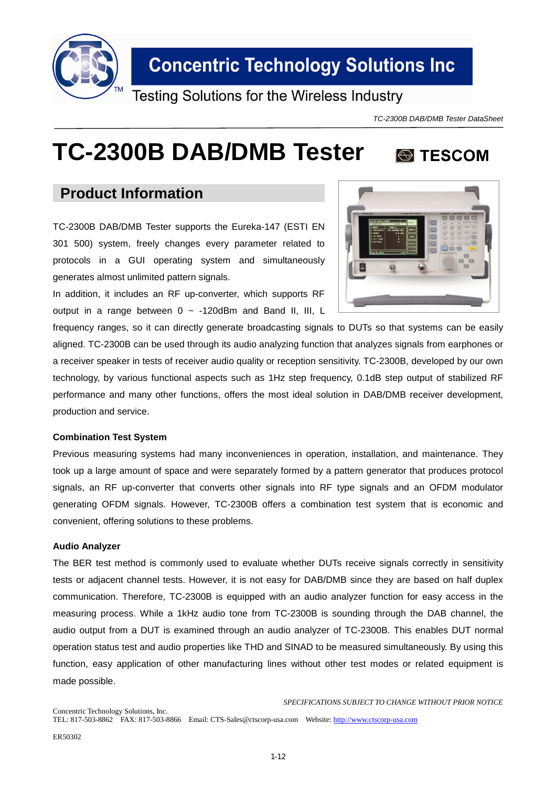

Testing Solutions for the Wireless Industry

*TC-2300B DAB/DMB Tester DataSheet*

**S** TESCOM

# **TC-2300B DAB/DMB Tester**

### **Product Information**

TC-2300B DAB/DMB Tester supports the Eureka-147 (ESTI EN 301 500) system, freely changes every parameter related to protocols in a GUI operating system and simultaneously generates almost unlimited pattern signals.

In addition, it includes an RF up-converter, which supports RF output in a range between  $0 \sim -120$ dBm and Band II, III, L

frequency ranges, so it can directly generate broadcasting signals to DUTs so that systems can be easily aligned. TC-2300B can be used through its audio analyzing function that analyzes signals from earphones or a receiver speaker in tests of receiver audio quality or reception sensitivity. TC-2300B, developed by our own technology, by various functional aspects such as 1Hz step frequency, 0.1dB step output of stabilized RF performance and many other functions, offers the most ideal solution in DAB/DMB receiver development, production and service.

### **Combination Test System**

Previous measuring systems had many inconveniences in operation, installation, and maintenance. They took up a large amount of space and were separately formed by a pattern generator that produces protocol signals, an RF up-converter that converts other signals into RF type signals and an OFDM modulator generating OFDM signals. However, TC-2300B offers a combination test system that is economic and convenient, offering solutions to these problems.

### **Audio Analyzer**

The BER test method is commonly used to evaluate whether DUTs receive signals correctly in sensitivity tests or adjacent channel tests. However, it is not easy for DAB/DMB since they are based on half duplex communication. Therefore, TC-2300B is equipped with an audio analyzer function for easy access in the measuring process. While a 1kHz audio tone from TC-2300B is sounding through the DAB channel, the audio output from a DUT is examined through an audio analyzer of TC-2300B. This enables DUT normal operation status test and audio properties like THD and SINAD to be measured simultaneously. By using this function, easy application of other manufacturing lines without other test modes or related equipment is made possible.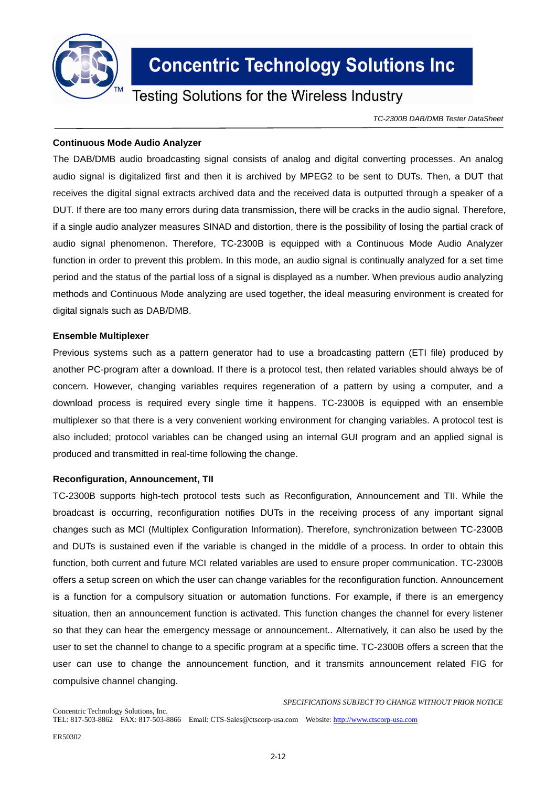

### **Testing Solutions for the Wireless Industry**

*TC-2300B DAB/DMB Tester DataSheet*

#### **Continuous Mode Audio Analyzer**

The DAB/DMB audio broadcasting signal consists of analog and digital converting processes. An analog audio signal is digitalized first and then it is archived by MPEG2 to be sent to DUTs. Then, a DUT that receives the digital signal extracts archived data and the received data is outputted through a speaker of a DUT. If there are too many errors during data transmission, there will be cracks in the audio signal. Therefore, if a single audio analyzer measures SINAD and distortion, there is the possibility of losing the partial crack of audio signal phenomenon. Therefore, TC-2300B is equipped with a Continuous Mode Audio Analyzer function in order to prevent this problem. In this mode, an audio signal is continually analyzed for a set time period and the status of the partial loss of a signal is displayed as a number. When previous audio analyzing methods and Continuous Mode analyzing are used together, the ideal measuring environment is created for digital signals such as DAB/DMB.

#### **Ensemble Multiplexer**

Previous systems such as a pattern generator had to use a broadcasting pattern (ETI file) produced by another PC-program after a download. If there is a protocol test, then related variables should always be of concern. However, changing variables requires regeneration of a pattern by using a computer, and a download process is required every single time it happens. TC-2300B is equipped with an ensemble multiplexer so that there is a very convenient working environment for changing variables. A protocol test is also included; protocol variables can be changed using an internal GUI program and an applied signal is produced and transmitted in real-time following the change.

### **Reconfiguration, Announcement, TII**

TC-2300B supports high-tech protocol tests such as Reconfiguration, Announcement and TII. While the broadcast is occurring, reconfiguration notifies DUTs in the receiving process of any important signal changes such as MCI (Multiplex Configuration Information). Therefore, synchronization between TC-2300B and DUTs is sustained even if the variable is changed in the middle of a process. In order to obtain this function, both current and future MCI related variables are used to ensure proper communication. TC-2300B offers a setup screen on which the user can change variables for the reconfiguration function. Announcement is a function for a compulsory situation or automation functions. For example, if there is an emergency situation, then an announcement function is activated. This function changes the channel for every listener so that they can hear the emergency message or announcement.. Alternatively, it can also be used by the user to set the channel to change to a specific program at a specific time. TC-2300B offers a screen that the user can use to change the announcement function, and it transmits announcement related FIG for compulsive channel changing.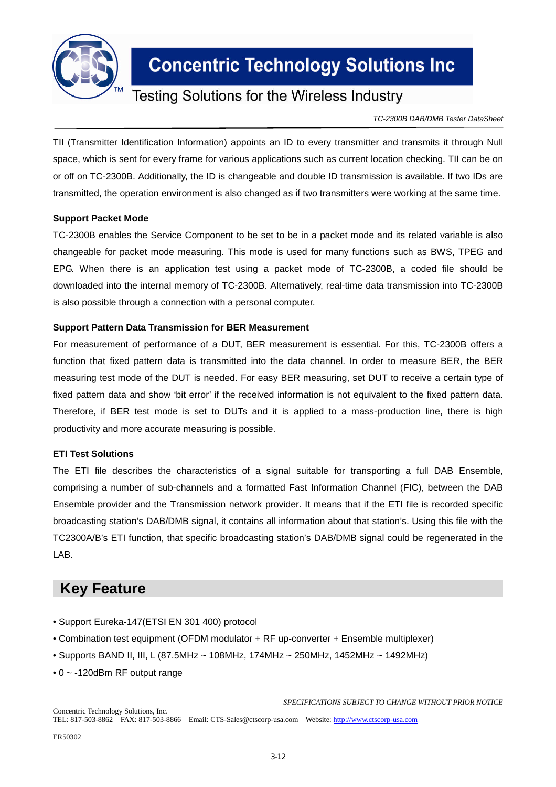

### **Testing Solutions for the Wireless Industry**

*TC-2300B DAB/DMB Tester DataSheet*

TII (Transmitter Identification Information) appoints an ID to every transmitter and transmits it through Null space, which is sent for every frame for various applications such as current location checking. TII can be on or off on TC-2300B. Additionally, the ID is changeable and double ID transmission is available. If two IDs are transmitted, the operation environment is also changed as if two transmitters were working at the same time.

### **Support Packet Mode**

TC-2300B enables the Service Component to be set to be in a packet mode and its related variable is also changeable for packet mode measuring. This mode is used for many functions such as BWS, TPEG and EPG. When there is an application test using a packet mode of TC-2300B, a coded file should be downloaded into the internal memory of TC-2300B. Alternatively, real-time data transmission into TC-2300B is also possible through a connection with a personal computer.

### **Support Pattern Data Transmission for BER Measurement**

For measurement of performance of a DUT, BER measurement is essential. For this, TC-2300B offers a function that fixed pattern data is transmitted into the data channel. In order to measure BER, the BER measuring test mode of the DUT is needed. For easy BER measuring, set DUT to receive a certain type of fixed pattern data and show 'bit error' if the received information is not equivalent to the fixed pattern data. Therefore, if BER test mode is set to DUTs and it is applied to a mass-production line, there is high productivity and more accurate measuring is possible.

### **ETI Test Solutions**

The ETI file describes the characteristics of a signal suitable for transporting a full DAB Ensemble, comprising a number of sub-channels and a formatted Fast Information Channel (FIC), between the DAB Ensemble provider and the Transmission network provider. It means that if the ETI file is recorded specific broadcasting station's DAB/DMB signal, it contains all information about that station's. Using this file with the TC2300A/B's ETI function, that specific broadcasting station's DAB/DMB signal could be regenerated in the LAB.

### **Key Feature**

- Support Eureka-147(ETSI EN 301 400) protocol
- Combination test equipment (OFDM modulator + RF up-converter + Ensemble multiplexer)
- Supports BAND II, III, L (87.5MHz ~ 108MHz, 174MHz ~ 250MHz, 1452MHz ~ 1492MHz)
- 0 ~ -120dBm RF output range

*SPECIFICATIONS SUBJECT TO CHANGE WITHOUT PRIOR NOTICE*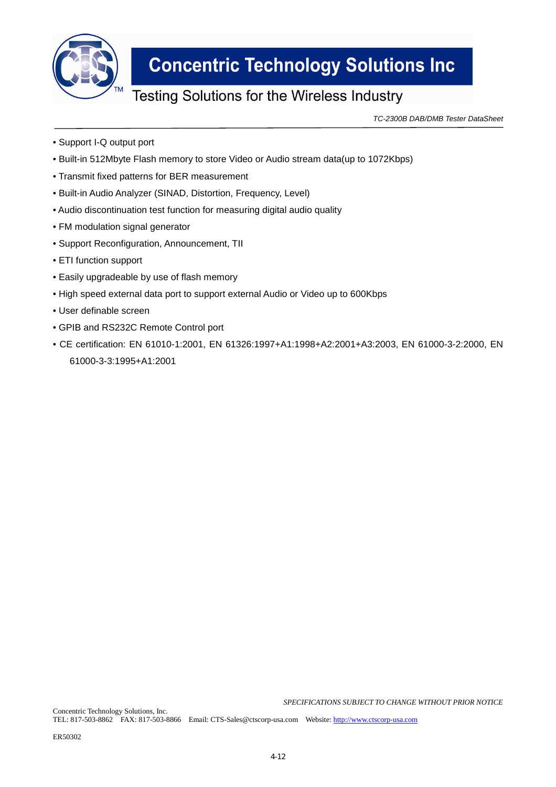

### **Testing Solutions for the Wireless Industry**

*TC-2300B DAB/DMB Tester DataSheet*

- Support I-Q output port
- Built-in 512Mbyte Flash memory to store Video or Audio stream data(up to 1072Kbps)
- Transmit fixed patterns for BER measurement
- Built-in Audio Analyzer (SINAD, Distortion, Frequency, Level)
- Audio discontinuation test function for measuring digital audio quality
- FM modulation signal generator
- Support Reconfiguration, Announcement, TII
- ETI function support
- Easily upgradeable by use of flash memory
- High speed external data port to support external Audio or Video up to 600Kbps
- User definable screen
- GPIB and RS232C Remote Control port
- CE certification: EN 61010-1:2001, EN 61326:1997+A1:1998+A2:2001+A3:2003, EN 61000-3-2:2000, EN 61000-3-3:1995+A1:2001

*SPECIFICATIONS SUBJECT TO CHANGE WITHOUT PRIOR NOTICE*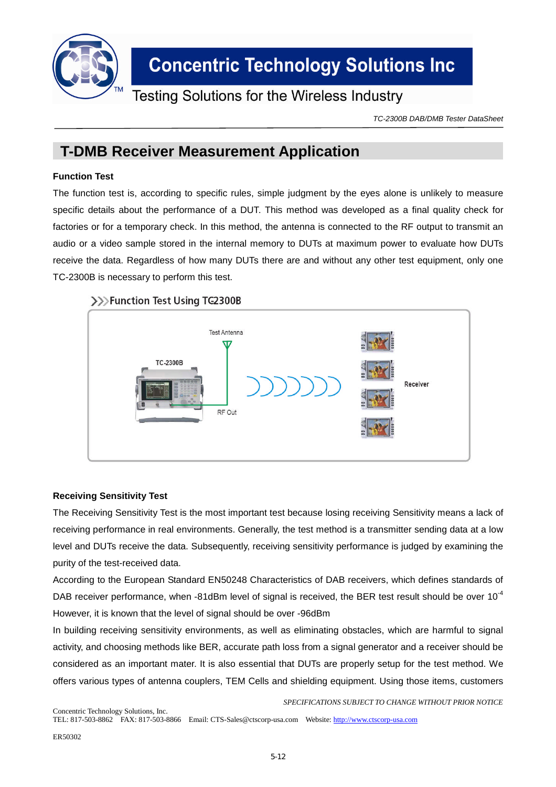

### **Testing Solutions for the Wireless Industry**

*TC-2300B DAB/DMB Tester DataSheet*

### **T-DMB Receiver Measurement Application**

### **Function Test**

The function test is, according to specific rules, simple judgment by the eyes alone is unlikely to measure specific details about the performance of a DUT. This method was developed as a final quality check for factories or for a temporary check. In this method, the antenna is connected to the RF output to transmit an audio or a video sample stored in the internal memory to DUTs at maximum power to evaluate how DUTs receive the data. Regardless of how many DUTs there are and without any other test equipment, only one TC-2300B is necessary to perform this test.

### >>>Function Test Using TG2300B



### **Receiving Sensitivity Test**

The Receiving Sensitivity Test is the most important test because losing receiving Sensitivity means a lack of receiving performance in real environments. Generally, the test method is a transmitter sending data at a low level and DUTs receive the data. Subsequently, receiving sensitivity performance is judged by examining the purity of the test-received data.

According to the European Standard EN50248 Characteristics of DAB receivers, which defines standards of DAB receiver performance, when -81dBm level of signal is received, the BER test result should be over  $10^{-4}$ However, it is known that the level of signal should be over -96dBm

In building receiving sensitivity environments, as well as eliminating obstacles, which are harmful to signal activity, and choosing methods like BER, accurate path loss from a signal generator and a receiver should be considered as an important mater. It is also essential that DUTs are properly setup for the test method. We offers various types of antenna couplers, TEM Cells and shielding equipment. Using those items, customers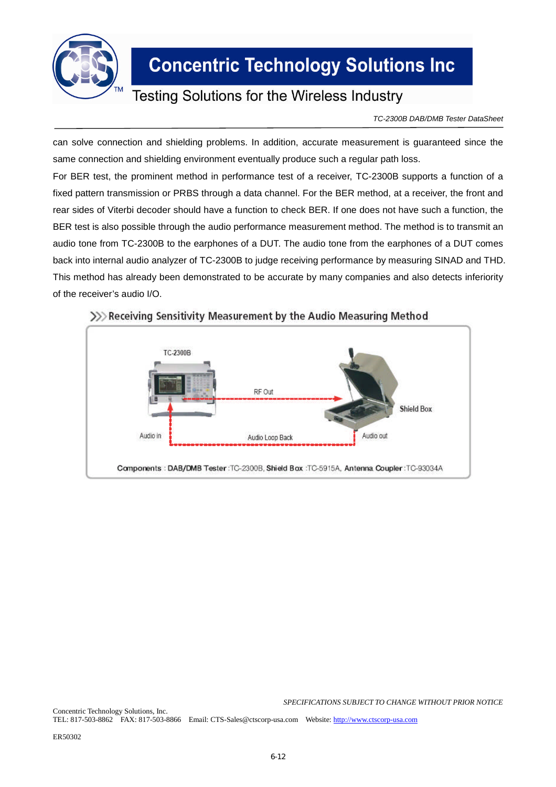

### **Testing Solutions for the Wireless Industry**

*TC-2300B DAB/DMB Tester DataSheet*

can solve connection and shielding problems. In addition, accurate measurement is guaranteed since the same connection and shielding environment eventually produce such a regular path loss.

For BER test, the prominent method in performance test of a receiver, TC-2300B supports a function of a fixed pattern transmission or PRBS through a data channel. For the BER method, at a receiver, the front and rear sides of Viterbi decoder should have a function to check BER. If one does not have such a function, the BER test is also possible through the audio performance measurement method. The method is to transmit an audio tone from TC-2300B to the earphones of a DUT. The audio tone from the earphones of a DUT comes back into internal audio analyzer of TC-2300B to judge receiving performance by measuring SINAD and THD. This method has already been demonstrated to be accurate by many companies and also detects inferiority of the receiver's audio I/O.



### >>>> Receiving Sensitivity Measurement by the Audio Measuring Method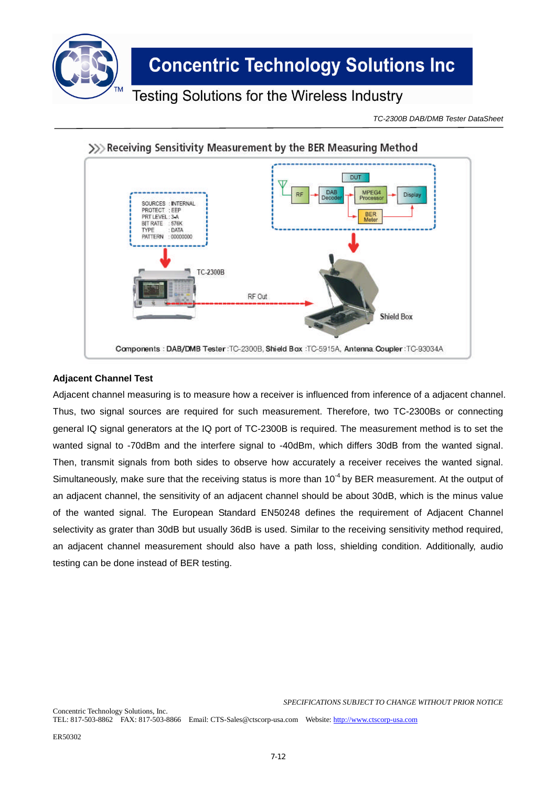

### **Testing Solutions for the Wireless Industry**

*TC-2300B DAB/DMB Tester DataSheet*



### >>> Receiving Sensitivity Measurement by the BER Measuring Method

### **Adjacent Channel Test**

Adjacent channel measuring is to measure how a receiver is influenced from inference of a adjacent channel. Thus, two signal sources are required for such measurement. Therefore, two TC-2300Bs or connecting general IQ signal generators at the IQ port of TC-2300B is required. The measurement method is to set the wanted signal to -70dBm and the interfere signal to -40dBm, which differs 30dB from the wanted signal. Then, transmit signals from both sides to observe how accurately a receiver receives the wanted signal. Simultaneously, make sure that the receiving status is more than 10<sup>-4</sup> by BER measurement. At the output of an adjacent channel, the sensitivity of an adjacent channel should be about 30dB, which is the minus value of the wanted signal. The European Standard EN50248 defines the requirement of Adjacent Channel selectivity as grater than 30dB but usually 36dB is used. Similar to the receiving sensitivity method required, an adjacent channel measurement should also have a path loss, shielding condition. Additionally, audio testing can be done instead of BER testing.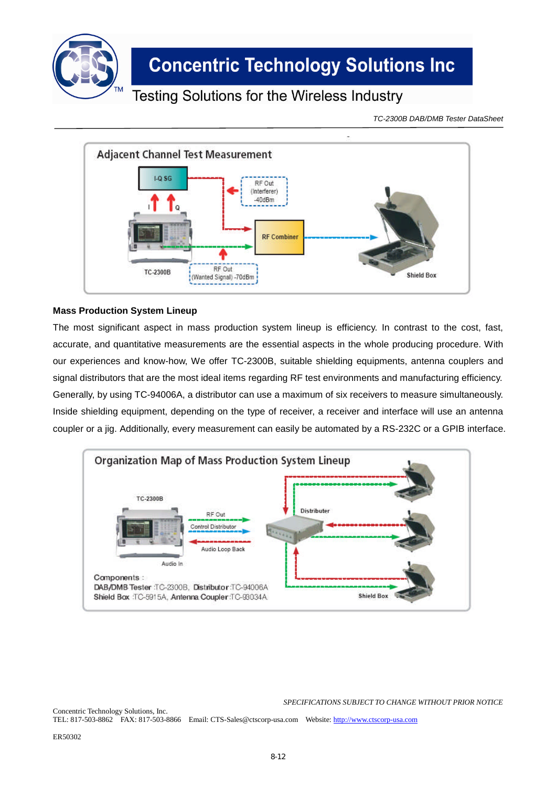

### **Testing Solutions for the Wireless Industry**

*TC-2300B DAB/DMB Tester DataSheet*



### **Mass Production System Lineup**

The most significant aspect in mass production system lineup is efficiency. In contrast to the cost, fast, accurate, and quantitative measurements are the essential aspects in the whole producing procedure. With our experiences and know-how, We offer TC-2300B, suitable shielding equipments, antenna couplers and signal distributors that are the most ideal items regarding RF test environments and manufacturing efficiency. Generally, by using TC-94006A, a distributor can use a maximum of six receivers to measure simultaneously. Inside shielding equipment, depending on the type of receiver, a receiver and interface will use an antenna coupler or a jig. Additionally, every measurement can easily be automated by a RS-232C or a GPIB interface.



*SPECIFICATIONS SUBJECT TO CHANGE WITHOUT PRIOR NOTICE*

Concentric Technology Solutions, Inc. TEL: 817-503-8862 FAX: 817-503-8866 Email: CTS-Sales@ctscorp-usa.com Website: http://www.ctscorp-usa.com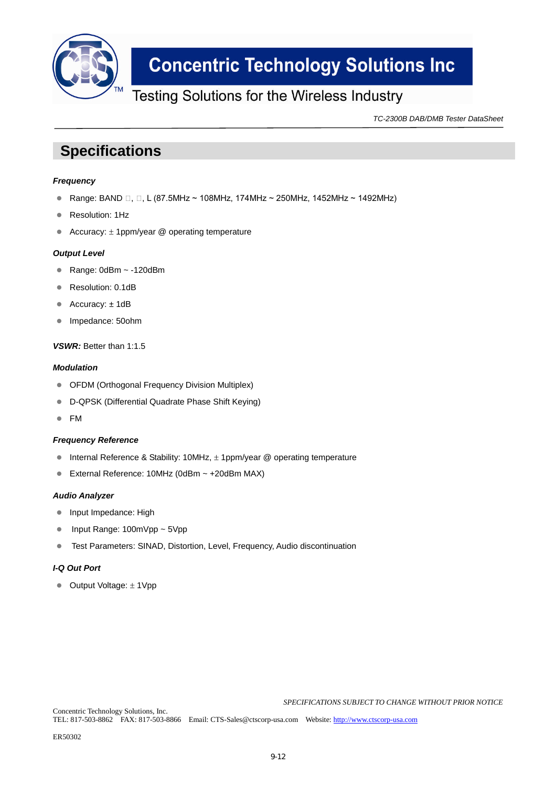

### **Testing Solutions for the Wireless Industry**

*TC-2300B DAB/DMB Tester DataSheet*

### **Specifications**

#### *Frequency*

- Range: BAND □, □, L (87.5MHz ~ 108MHz, 174MHz ~ 250MHz, 1452MHz ~ 1492MHz)
- Resolution: 1Hz
- Accuracy:  $\pm$  1ppm/year @ operating temperature

#### *Output Level*

- Range:  $0dBm \sim -120dBm$
- Resolution: 0.1dB
- Accuracy: ±1dB
- Impedance: 50ohm

#### *VSWR:* Better than 1:1.5

#### *Modulation*

- OFDM (Orthogonal Frequency Division Multiplex)
- D-QPSK (Differential Quadrate Phase Shift Keying)
- FM

#### *Frequency Reference*

- Internal Reference & Stability: 10MHz,  $\pm$  1ppm/year @ operating temperature
- External Reference: 10MHz (0dBm ~ +20dBm MAX)

#### *Audio Analyzer*

- Input Impedance: High
- Input Range: 100mVpp ~ 5Vpp
- Test Parameters: SINAD, Distortion, Level, Frequency, Audio discontinuation

### *I-Q Out Port*

 $\bullet$  Output Voltage:  $\pm$  1Vpp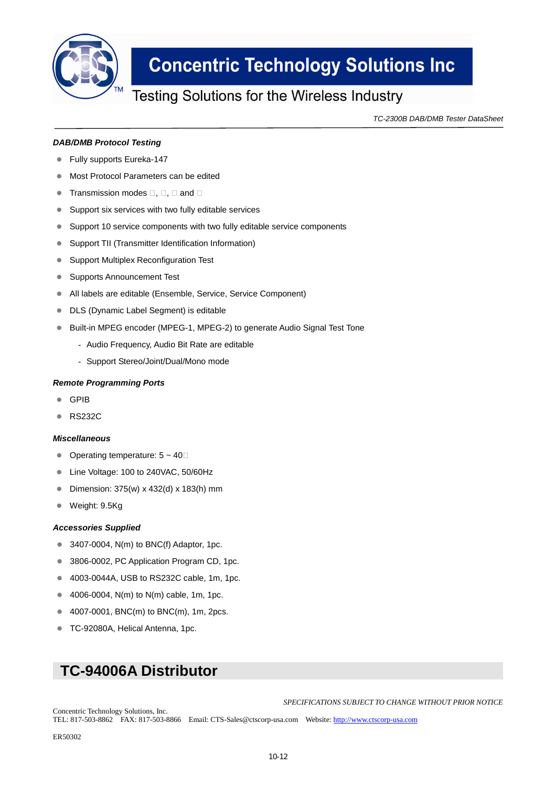

### Testing Solutions for the Wireless Industry

*TC-2300B DAB/DMB Tester DataSheet*

#### *DAB/DMB Protocol Testing*

- Fully supports Eureka-147
- **Most Protocol Parameters can be edited**
- Transmission modes □, □, □ and □
- **Support six services with two fully editable services**
- Support 10 service components with two fully editable service components
- Support TII (Transmitter Identification Information)
- **Support Multiplex Reconfiguration Test**
- **Supports Announcement Test**
- All labels are editable (Ensemble, Service, Service Component)
- DLS (Dynamic Label Segment) is editable
- Built-in MPEG encoder (MPEG-1, MPEG-2) to generate Audio Signal Test Tone
	- Audio Frequency, Audio Bit Rate are editable
	- Support Stereo/Joint/Dual/Mono mode

#### *Remote Programming Ports*

- GPIB
- **RS232C**

#### *Miscellaneous*

- Operating temperature: 5 ~ 40℃
- Line Voltage: 100 to 240VAC, 50/60Hz
- Dimension: 375(w) x 432(d) x 183(h) mm
- Weight: 9.5Kg

#### *Accessories Supplied*

- $\bullet$  3407-0004, N(m) to BNC(f) Adaptor, 1pc.
- 3806-0002, PC Application Program CD, 1pc.
- 4003-0044A, USB to RS232C cable, 1m, 1pc.
- 4006-0004,  $N(m)$  to  $N(m)$  cable, 1m, 1pc.
- 4007-0001, BNC(m) to BNC(m), 1m, 2pcs.
- TC-92080A, Helical Antenna, 1pc.

### **TC-94006A Distributor**

*SPECIFICATIONS SUBJECT TO CHANGE WITHOUT PRIOR NOTICE*

Concentric Technology Solutions, Inc. TEL: 817-503-8862 FAX: 817-503-8866 Email: CTS-Sales@ctscorp-usa.com Website: http://www.ctscorp-usa.com

ER50302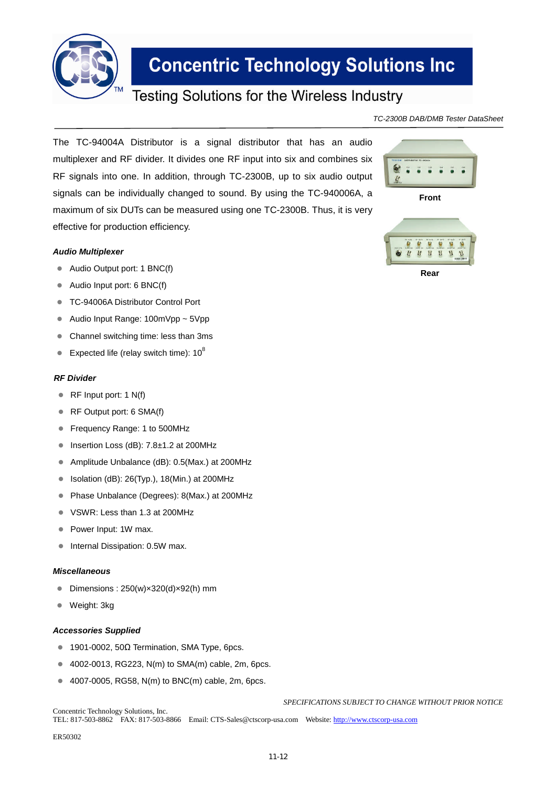

### **Testing Solutions for the Wireless Industry**

*TC-2300B DAB/DMB Tester DataSheet*

The TC-94004A Distributor is a signal distributor that has an audio multiplexer and RF divider. It divides one RF input into six and combines six RF signals into one. In addition, through TC-2300B, up to six audio output signals can be individually changed to sound. By using the TC-940006A, a maximum of six DUTs can be measured using one TC-2300B. Thus, it is very effective for production efficiency.

#### *Audio Multiplexer*

- Audio Output port: 1 BNC(f)
- Audio Input port: 6 BNC(f)
- TC-94006A Distributor Control Port
- Audio Input Range: 100mVpp ~ 5Vpp
- Channel switching time: less than 3ms
- Expected life (relay switch time):  $10^8$

#### *RF Divider*

- RF Input port: 1 N(f)
- RF Output port: 6 SMA(f)
- Frequency Range: 1 to 500MHz
- $\bullet$  Insertion Loss (dB): 7.8 $\pm$ 1.2 at 200MHz
- Amplitude Unbalance (dB): 0.5(Max.) at 200MHz
- $\bullet$  Isolation (dB): 26(Typ.), 18(Min.) at 200MHz
- Phase Unbalance (Degrees): 8(Max.) at 200MHz
- VSWR: Less than 1.3 at 200MHz
- Power Input: 1W max.
- Internal Dissipation: 0.5W max.

#### *Miscellaneous*

- Dimensions : 250(w)×320(d)×92(h) mm
- Weight: 3kg

#### *Accessories Supplied*

- <sup>■</sup> 1901-0002, 50Ω Termination, SMA Type, 6pcs.
- 4002-0013, RG223, N(m) to SMA(m) cable, 2m, 6pcs.
- 4007-0005, RG58, N(m) to BNC(m) cable, 2m, 6pcs.

*SPECIFICATIONS SUBJECT TO CHANGE WITHOUT PRIOR NOTICE*

Concentric Technology Solutions, Inc. TEL: 817-503-8862 FAX: 817-503-8866 Email: CTS-Sales@ctscorp-usa.com Website: http://www.ctscorp-usa.com

ER50302